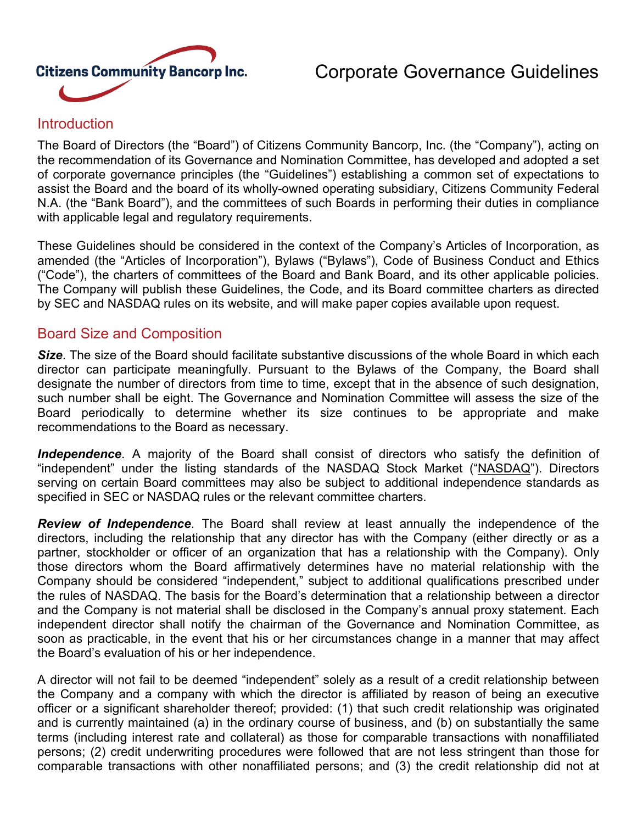

# Corporate Governance Guidelines

#### **Introduction**

The Board of Directors (the "Board") of Citizens Community Bancorp, Inc. (the "Company"), acting on the recommendation of its Governance and Nomination Committee, has developed and adopted a set of corporate governance principles (the "Guidelines") establishing a common set of expectations to assist the Board and the board of its wholly-owned operating subsidiary, Citizens Community Federal N.A. (the "Bank Board"), and the committees of such Boards in performing their duties in compliance with applicable legal and regulatory requirements.

These Guidelines should be considered in the context of the Company's Articles of Incorporation, as amended (the "Articles of Incorporation"), Bylaws ("Bylaws"), Code of Business Conduct and Ethics ("Code"), the charters of committees of the Board and Bank Board, and its other applicable policies. The Company will publish these Guidelines, the Code, and its Board committee charters as directed by SEC and NASDAQ rules on its website, and will make paper copies available upon request.

#### Board Size and Composition

*Size*. The size of the Board should facilitate substantive discussions of the whole Board in which each director can participate meaningfully. Pursuant to the Bylaws of the Company, the Board shall designate the number of directors from time to time, except that in the absence of such designation, such number shall be eight. The Governance and Nomination Committee will assess the size of the Board periodically to determine whether its size continues to be appropriate and make recommendations to the Board as necessary.

*Independence*. A majority of the Board shall consist of directors who satisfy the definition of "independent" under the listing standards of the NASDAQ Stock Market ("NASDAQ"). Directors serving on certain Board committees may also be subject to additional independence standards as specified in SEC or NASDAQ rules or the relevant committee charters.

*Review of Independence*. The Board shall review at least annually the independence of the directors, including the relationship that any director has with the Company (either directly or as a partner, stockholder or officer of an organization that has a relationship with the Company). Only those directors whom the Board affirmatively determines have no material relationship with the Company should be considered "independent," subject to additional qualifications prescribed under the rules of NASDAQ. The basis for the Board's determination that a relationship between a director and the Company is not material shall be disclosed in the Company's annual proxy statement. Each independent director shall notify the chairman of the Governance and Nomination Committee, as soon as practicable, in the event that his or her circumstances change in a manner that may affect the Board's evaluation of his or her independence.

A director will not fail to be deemed "independent" solely as a result of a credit relationship between the Company and a company with which the director is affiliated by reason of being an executive officer or a significant shareholder thereof; provided: (1) that such credit relationship was originated and is currently maintained (a) in the ordinary course of business, and (b) on substantially the same terms (including interest rate and collateral) as those for comparable transactions with nonaffiliated persons; (2) credit underwriting procedures were followed that are not less stringent than those for comparable transactions with other nonaffiliated persons; and (3) the credit relationship did not at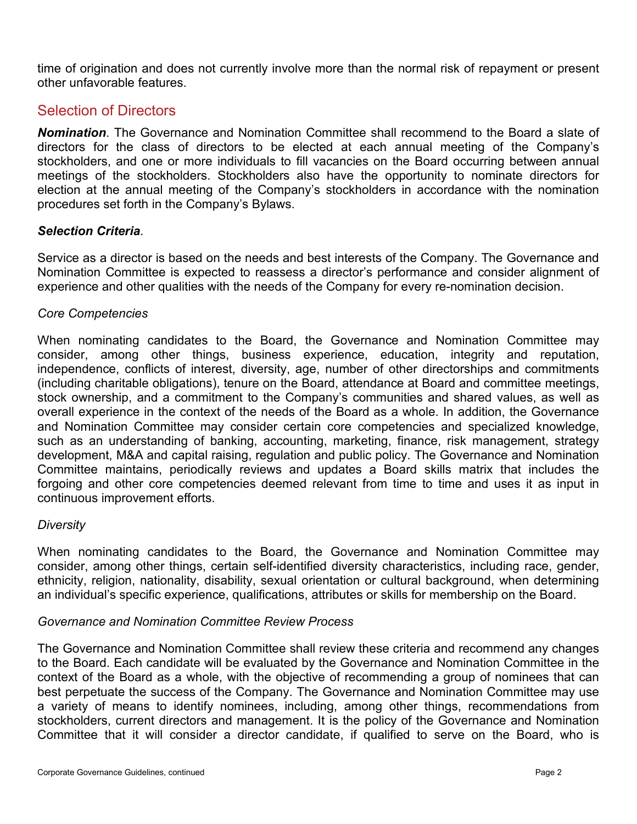time of origination and does not currently involve more than the normal risk of repayment or present other unfavorable features.

#### Selection of Directors

*Nomination*. The Governance and Nomination Committee shall recommend to the Board a slate of directors for the class of directors to be elected at each annual meeting of the Company's stockholders, and one or more individuals to fill vacancies on the Board occurring between annual meetings of the stockholders. Stockholders also have the opportunity to nominate directors for election at the annual meeting of the Company's stockholders in accordance with the nomination procedures set forth in the Company's Bylaws.

#### *Selection Criteria*.

Service as a director is based on the needs and best interests of the Company. The Governance and Nomination Committee is expected to reassess a director's performance and consider alignment of experience and other qualities with the needs of the Company for every re-nomination decision.

#### *Core Competencies*

When nominating candidates to the Board, the Governance and Nomination Committee may consider, among other things, business experience, education, integrity and reputation, independence, conflicts of interest, diversity, age, number of other directorships and commitments (including charitable obligations), tenure on the Board, attendance at Board and committee meetings, stock ownership, and a commitment to the Company's communities and shared values, as well as overall experience in the context of the needs of the Board as a whole. In addition, the Governance and Nomination Committee may consider certain core competencies and specialized knowledge, such as an understanding of banking, accounting, marketing, finance, risk management, strategy development, M&A and capital raising, regulation and public policy. The Governance and Nomination Committee maintains, periodically reviews and updates a Board skills matrix that includes the forgoing and other core competencies deemed relevant from time to time and uses it as input in continuous improvement efforts.

#### *Diversity*

When nominating candidates to the Board, the Governance and Nomination Committee may consider, among other things, certain self-identified diversity characteristics, including race, gender, ethnicity, religion, nationality, disability, sexual orientation or cultural background, when determining an individual's specific experience, qualifications, attributes or skills for membership on the Board.

#### *Governance and Nomination Committee Review Process*

The Governance and Nomination Committee shall review these criteria and recommend any changes to the Board. Each candidate will be evaluated by the Governance and Nomination Committee in the context of the Board as a whole, with the objective of recommending a group of nominees that can best perpetuate the success of the Company. The Governance and Nomination Committee may use a variety of means to identify nominees, including, among other things, recommendations from stockholders, current directors and management. It is the policy of the Governance and Nomination Committee that it will consider a director candidate, if qualified to serve on the Board, who is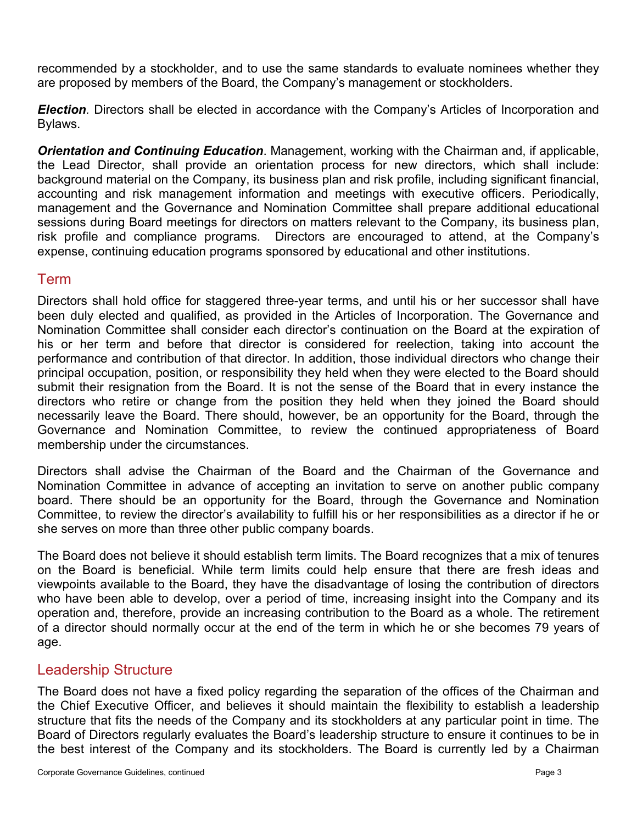recommended by a stockholder, and to use the same standards to evaluate nominees whether they are proposed by members of the Board, the Company's management or stockholders.

*Election.* Directors shall be elected in accordance with the Company's Articles of Incorporation and Bylaws.

*Orientation and Continuing Education*. Management, working with the Chairman and, if applicable, the Lead Director, shall provide an orientation process for new directors, which shall include: background material on the Company, its business plan and risk profile, including significant financial, accounting and risk management information and meetings with executive officers. Periodically, management and the Governance and Nomination Committee shall prepare additional educational sessions during Board meetings for directors on matters relevant to the Company, its business plan, risk profile and compliance programs. Directors are encouraged to attend, at the Company's expense, continuing education programs sponsored by educational and other institutions.

#### Term

Directors shall hold office for staggered three-year terms, and until his or her successor shall have been duly elected and qualified, as provided in the Articles of Incorporation. The Governance and Nomination Committee shall consider each director's continuation on the Board at the expiration of his or her term and before that director is considered for reelection, taking into account the performance and contribution of that director. In addition, those individual directors who change their principal occupation, position, or responsibility they held when they were elected to the Board should submit their resignation from the Board. It is not the sense of the Board that in every instance the directors who retire or change from the position they held when they joined the Board should necessarily leave the Board. There should, however, be an opportunity for the Board, through the Governance and Nomination Committee, to review the continued appropriateness of Board membership under the circumstances.

Directors shall advise the Chairman of the Board and the Chairman of the Governance and Nomination Committee in advance of accepting an invitation to serve on another public company board. There should be an opportunity for the Board, through the Governance and Nomination Committee, to review the director's availability to fulfill his or her responsibilities as a director if he or she serves on more than three other public company boards.

The Board does not believe it should establish term limits. The Board recognizes that a mix of tenures on the Board is beneficial. While term limits could help ensure that there are fresh ideas and viewpoints available to the Board, they have the disadvantage of losing the contribution of directors who have been able to develop, over a period of time, increasing insight into the Company and its operation and, therefore, provide an increasing contribution to the Board as a whole. The retirement of a director should normally occur at the end of the term in which he or she becomes 79 years of age.

## Leadership Structure

The Board does not have a fixed policy regarding the separation of the offices of the Chairman and the Chief Executive Officer, and believes it should maintain the flexibility to establish a leadership structure that fits the needs of the Company and its stockholders at any particular point in time. The Board of Directors regularly evaluates the Board's leadership structure to ensure it continues to be in the best interest of the Company and its stockholders. The Board is currently led by a Chairman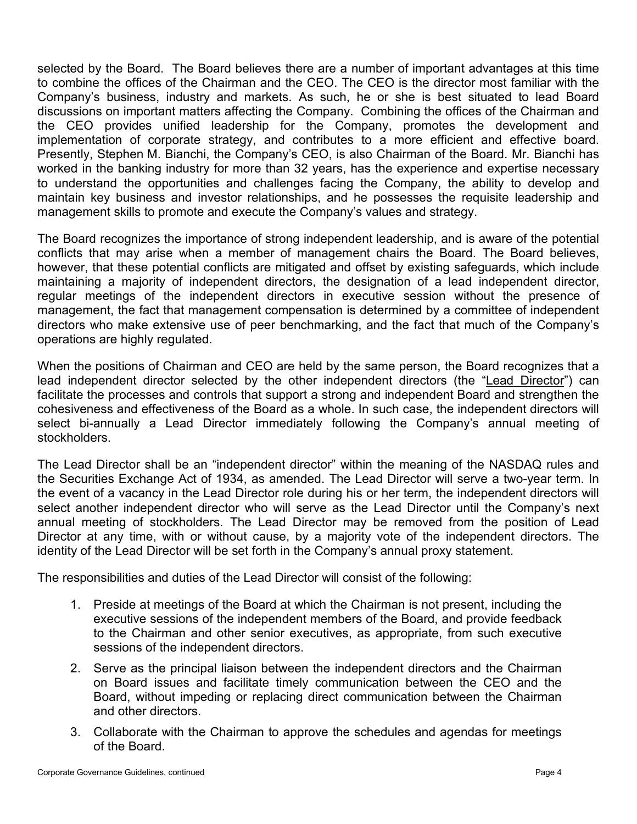selected by the Board. The Board believes there are a number of important advantages at this time to combine the offices of the Chairman and the CEO. The CEO is the director most familiar with the Company's business, industry and markets. As such, he or she is best situated to lead Board discussions on important matters affecting the Company. Combining the offices of the Chairman and the CEO provides unified leadership for the Company, promotes the development and implementation of corporate strategy, and contributes to a more efficient and effective board. Presently, Stephen M. Bianchi, the Company's CEO, is also Chairman of the Board. Mr. Bianchi has worked in the banking industry for more than 32 years, has the experience and expertise necessary to understand the opportunities and challenges facing the Company, the ability to develop and maintain key business and investor relationships, and he possesses the requisite leadership and management skills to promote and execute the Company's values and strategy.

The Board recognizes the importance of strong independent leadership, and is aware of the potential conflicts that may arise when a member of management chairs the Board. The Board believes, however, that these potential conflicts are mitigated and offset by existing safeguards, which include maintaining a majority of independent directors, the designation of a lead independent director, regular meetings of the independent directors in executive session without the presence of management, the fact that management compensation is determined by a committee of independent directors who make extensive use of peer benchmarking, and the fact that much of the Company's operations are highly regulated.

When the positions of Chairman and CEO are held by the same person, the Board recognizes that a lead independent director selected by the other independent directors (the "Lead Director") can facilitate the processes and controls that support a strong and independent Board and strengthen the cohesiveness and effectiveness of the Board as a whole. In such case, the independent directors will select bi-annually a Lead Director immediately following the Company's annual meeting of stockholders.

The Lead Director shall be an "independent director" within the meaning of the NASDAQ rules and the Securities Exchange Act of 1934, as amended. The Lead Director will serve a two-year term. In the event of a vacancy in the Lead Director role during his or her term, the independent directors will select another independent director who will serve as the Lead Director until the Company's next annual meeting of stockholders. The Lead Director may be removed from the position of Lead Director at any time, with or without cause, by a majority vote of the independent directors. The identity of the Lead Director will be set forth in the Company's annual proxy statement.

The responsibilities and duties of the Lead Director will consist of the following:

- 1. Preside at meetings of the Board at which the Chairman is not present, including the executive sessions of the independent members of the Board, and provide feedback to the Chairman and other senior executives, as appropriate, from such executive sessions of the independent directors.
- 2. Serve as the principal liaison between the independent directors and the Chairman on Board issues and facilitate timely communication between the CEO and the Board, without impeding or replacing direct communication between the Chairman and other directors.
- 3. Collaborate with the Chairman to approve the schedules and agendas for meetings of the Board.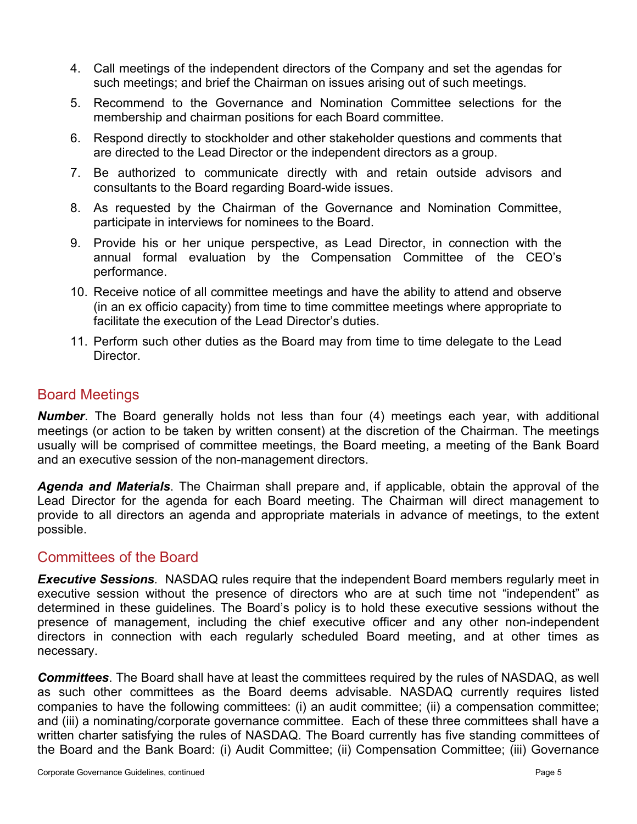- 4. Call meetings of the independent directors of the Company and set the agendas for such meetings; and brief the Chairman on issues arising out of such meetings.
- 5. Recommend to the Governance and Nomination Committee selections for the membership and chairman positions for each Board committee.
- 6. Respond directly to stockholder and other stakeholder questions and comments that are directed to the Lead Director or the independent directors as a group.
- 7. Be authorized to communicate directly with and retain outside advisors and consultants to the Board regarding Board-wide issues.
- 8. As requested by the Chairman of the Governance and Nomination Committee, participate in interviews for nominees to the Board.
- 9. Provide his or her unique perspective, as Lead Director, in connection with the annual formal evaluation by the Compensation Committee of the CEO's performance.
- 10. Receive notice of all committee meetings and have the ability to attend and observe (in an ex officio capacity) from time to time committee meetings where appropriate to facilitate the execution of the Lead Director's duties.
- 11. Perform such other duties as the Board may from time to time delegate to the Lead Director.

#### Board Meetings

*Number*. The Board generally holds not less than four (4) meetings each year, with additional meetings (or action to be taken by written consent) at the discretion of the Chairman. The meetings usually will be comprised of committee meetings, the Board meeting, a meeting of the Bank Board and an executive session of the non-management directors.

*Agenda and Materials*. The Chairman shall prepare and, if applicable, obtain the approval of the Lead Director for the agenda for each Board meeting. The Chairman will direct management to provide to all directors an agenda and appropriate materials in advance of meetings, to the extent possible.

#### Committees of the Board

*Executive Sessions.* NASDAQ rules require that the independent Board members regularly meet in executive session without the presence of directors who are at such time not "independent" as determined in these guidelines. The Board's policy is to hold these executive sessions without the presence of management, including the chief executive officer and any other non-independent directors in connection with each regularly scheduled Board meeting, and at other times as necessary.

*Committees*. The Board shall have at least the committees required by the rules of NASDAQ, as well as such other committees as the Board deems advisable. NASDAQ currently requires listed companies to have the following committees: (i) an audit committee; (ii) a compensation committee; and (iii) a nominating/corporate governance committee. Each of these three committees shall have a written charter satisfying the rules of NASDAQ. The Board currently has five standing committees of the Board and the Bank Board: (i) Audit Committee; (ii) Compensation Committee; (iii) Governance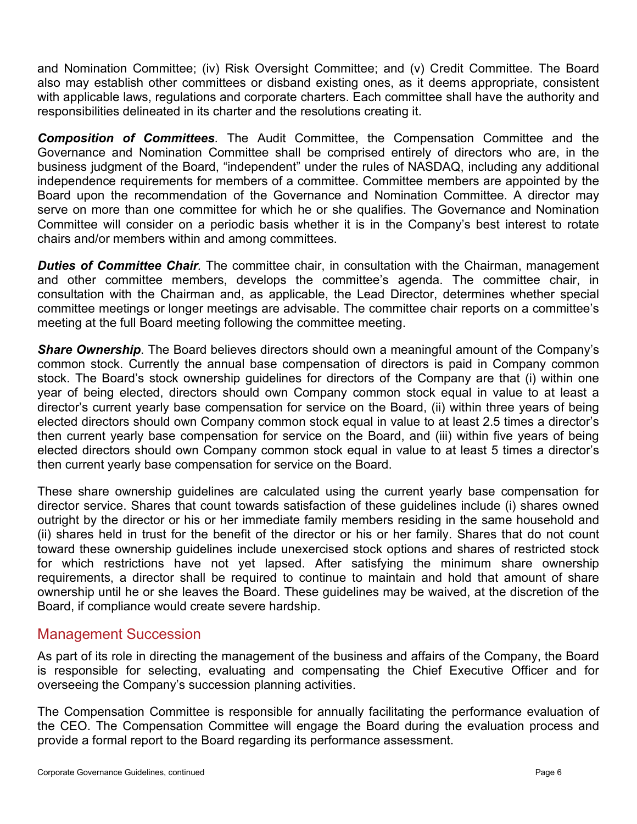and Nomination Committee; (iv) Risk Oversight Committee; and (v) Credit Committee. The Board also may establish other committees or disband existing ones, as it deems appropriate, consistent with applicable laws, regulations and corporate charters. Each committee shall have the authority and responsibilities delineated in its charter and the resolutions creating it.

*Composition of Committees.* The Audit Committee, the Compensation Committee and the Governance and Nomination Committee shall be comprised entirely of directors who are, in the business judgment of the Board, "independent" under the rules of NASDAQ, including any additional independence requirements for members of a committee. Committee members are appointed by the Board upon the recommendation of the Governance and Nomination Committee. A director may serve on more than one committee for which he or she qualifies. The Governance and Nomination Committee will consider on a periodic basis whether it is in the Company's best interest to rotate chairs and/or members within and among committees.

*Duties of Committee Chair.* The committee chair, in consultation with the Chairman, management and other committee members, develops the committee's agenda. The committee chair, in consultation with the Chairman and, as applicable, the Lead Director, determines whether special committee meetings or longer meetings are advisable. The committee chair reports on a committee's meeting at the full Board meeting following the committee meeting.

*Share Ownership*. The Board believes directors should own a meaningful amount of the Company's common stock. Currently the annual base compensation of directors is paid in Company common stock. The Board's stock ownership guidelines for directors of the Company are that (i) within one year of being elected, directors should own Company common stock equal in value to at least a director's current yearly base compensation for service on the Board, (ii) within three years of being elected directors should own Company common stock equal in value to at least 2.5 times a director's then current yearly base compensation for service on the Board, and (iii) within five years of being elected directors should own Company common stock equal in value to at least 5 times a director's then current yearly base compensation for service on the Board.

These share ownership guidelines are calculated using the current yearly base compensation for director service. Shares that count towards satisfaction of these guidelines include (i) shares owned outright by the director or his or her immediate family members residing in the same household and (ii) shares held in trust for the benefit of the director or his or her family. Shares that do not count toward these ownership guidelines include unexercised stock options and shares of restricted stock for which restrictions have not yet lapsed. After satisfying the minimum share ownership requirements, a director shall be required to continue to maintain and hold that amount of share ownership until he or she leaves the Board. These guidelines may be waived, at the discretion of the Board, if compliance would create severe hardship.

## Management Succession

As part of its role in directing the management of the business and affairs of the Company, the Board is responsible for selecting, evaluating and compensating the Chief Executive Officer and for overseeing the Company's succession planning activities.

The Compensation Committee is responsible for annually facilitating the performance evaluation of the CEO. The Compensation Committee will engage the Board during the evaluation process and provide a formal report to the Board regarding its performance assessment.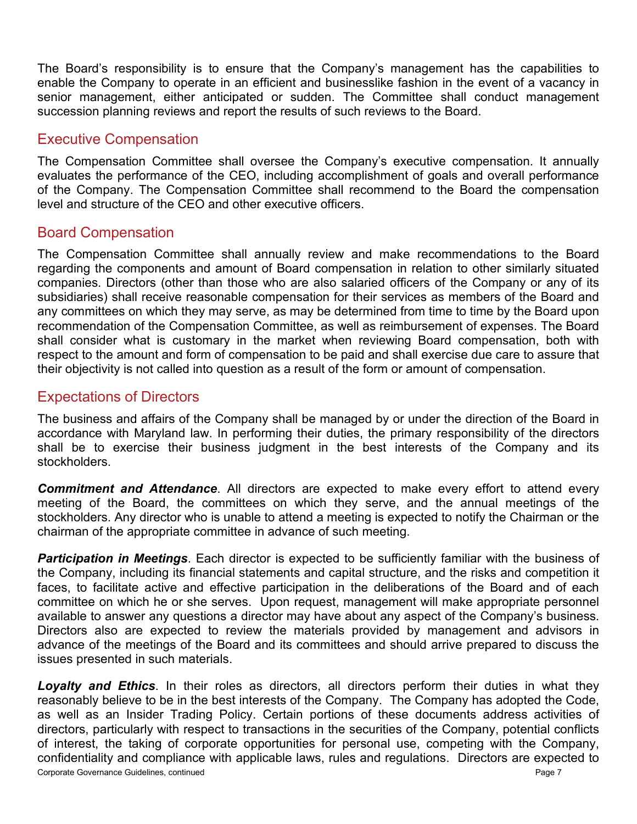The Board's responsibility is to ensure that the Company's management has the capabilities to enable the Company to operate in an efficient and businesslike fashion in the event of a vacancy in senior management, either anticipated or sudden. The Committee shall conduct management succession planning reviews and report the results of such reviews to the Board.

#### Executive Compensation

The Compensation Committee shall oversee the Company's executive compensation. It annually evaluates the performance of the CEO, including accomplishment of goals and overall performance of the Company. The Compensation Committee shall recommend to the Board the compensation level and structure of the CEO and other executive officers.

## Board Compensation

The Compensation Committee shall annually review and make recommendations to the Board regarding the components and amount of Board compensation in relation to other similarly situated companies. Directors (other than those who are also salaried officers of the Company or any of its subsidiaries) shall receive reasonable compensation for their services as members of the Board and any committees on which they may serve, as may be determined from time to time by the Board upon recommendation of the Compensation Committee, as well as reimbursement of expenses. The Board shall consider what is customary in the market when reviewing Board compensation, both with respect to the amount and form of compensation to be paid and shall exercise due care to assure that their objectivity is not called into question as a result of the form or amount of compensation.

## Expectations of Directors

The business and affairs of the Company shall be managed by or under the direction of the Board in accordance with Maryland law. In performing their duties, the primary responsibility of the directors shall be to exercise their business judgment in the best interests of the Company and its stockholders.

*Commitment and Attendance*. All directors are expected to make every effort to attend every meeting of the Board, the committees on which they serve, and the annual meetings of the stockholders. Any director who is unable to attend a meeting is expected to notify the Chairman or the chairman of the appropriate committee in advance of such meeting.

*Participation in Meetings*. Each director is expected to be sufficiently familiar with the business of the Company, including its financial statements and capital structure, and the risks and competition it faces, to facilitate active and effective participation in the deliberations of the Board and of each committee on which he or she serves. Upon request, management will make appropriate personnel available to answer any questions a director may have about any aspect of the Company's business. Directors also are expected to review the materials provided by management and advisors in advance of the meetings of the Board and its committees and should arrive prepared to discuss the issues presented in such materials.

Corporate Governance Guidelines, continued Page 7 *Loyalty and Ethics*. In their roles as directors, all directors perform their duties in what they reasonably believe to be in the best interests of the Company. The Company has adopted the Code, as well as an Insider Trading Policy. Certain portions of these documents address activities of directors, particularly with respect to transactions in the securities of the Company, potential conflicts of interest, the taking of corporate opportunities for personal use, competing with the Company, confidentiality and compliance with applicable laws, rules and regulations. Directors are expected to